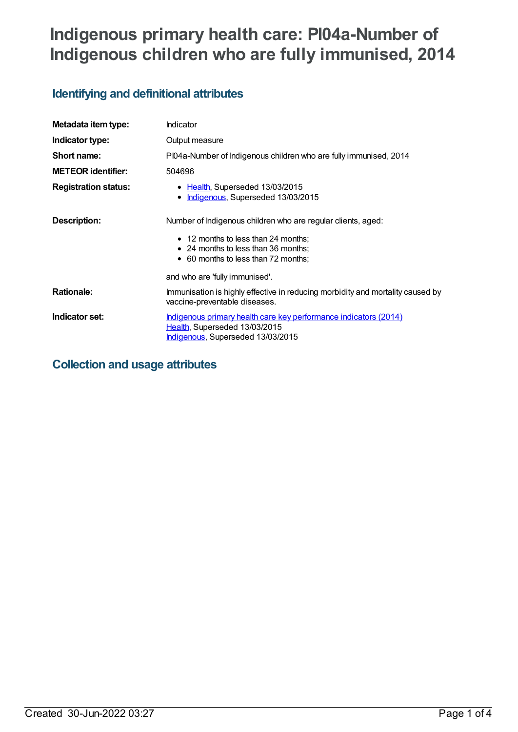# **Indigenous primary health care: PI04a-Number of Indigenous children who are fully immunised, 2014**

## **Identifying and definitional attributes**

| Metadata item type:         | Indicator                                                                                                                                                                         |  |
|-----------------------------|-----------------------------------------------------------------------------------------------------------------------------------------------------------------------------------|--|
| Indicator type:             | Output measure                                                                                                                                                                    |  |
| Short name:                 | PI04a-Number of Indigenous children who are fully immunised, 2014                                                                                                                 |  |
| <b>METEOR identifier:</b>   | 504696                                                                                                                                                                            |  |
| <b>Registration status:</b> | • Health, Superseded 13/03/2015<br>Indigenous, Superseded 13/03/2015<br>٠                                                                                                         |  |
| Description:                | Number of Indigenous children who are regular clients, aged:<br>• 12 months to less than 24 months:<br>• 24 months to less than 36 months;<br>• 60 months to less than 72 months; |  |
|                             | and who are 'fully immunised'.                                                                                                                                                    |  |
| <b>Rationale:</b>           | Immunisation is highly effective in reducing morbidity and mortality caused by<br>vaccine-preventable diseases.                                                                   |  |
| Indicator set:              | Indigenous primary health care key performance indicators (2014)<br>Health, Superseded 13/03/2015<br>Indigenous, Superseded 13/03/2015                                            |  |

## **Collection and usage attributes**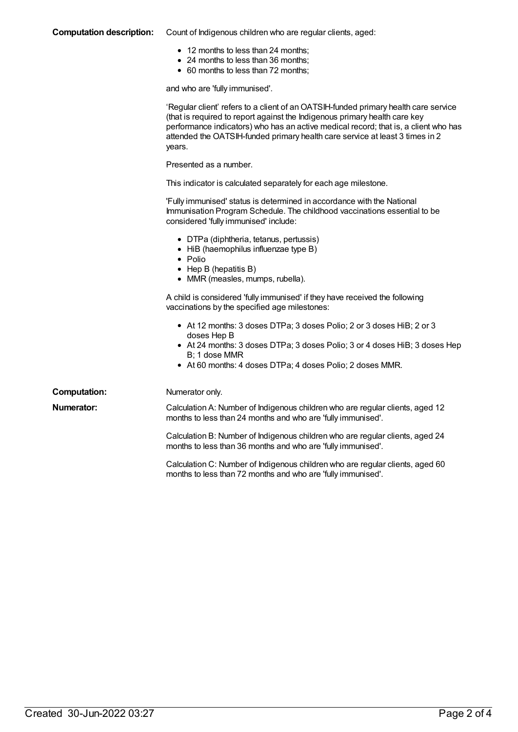#### **Computation description:** Count of Indigenous children who are regular clients, aged:

- 12 months to less than 24 months;
- 24 months to less than 36 months;
- 60 months to less than 72 months;

and who are 'fully immunised'.

|                     | 'Regular client' refers to a client of an OATSIH-funded primary health care service<br>(that is required to report against the Indigenous primary health care key<br>performance indicators) who has an active medical record; that is, a client who has<br>attended the OATSIH-funded primary health care service at least 3 times in 2<br>years. |
|---------------------|----------------------------------------------------------------------------------------------------------------------------------------------------------------------------------------------------------------------------------------------------------------------------------------------------------------------------------------------------|
|                     | Presented as a number.                                                                                                                                                                                                                                                                                                                             |
|                     | This indicator is calculated separately for each age milestone.                                                                                                                                                                                                                                                                                    |
|                     | 'Fully immunised' status is determined in accordance with the National<br>Immunisation Program Schedule. The childhood vaccinations essential to be<br>considered 'fully immunised' include:                                                                                                                                                       |
|                     | • DTPa (diphtheria, tetanus, pertussis)<br>• HiB (haemophilus influenzae type B)<br>$\bullet$ Polio<br>$\bullet$ Hep B (hepatitis B)<br>• MMR (measles, mumps, rubella).                                                                                                                                                                           |
|                     | A child is considered 'fully immunised' if they have received the following<br>vaccinations by the specified age milestones:                                                                                                                                                                                                                       |
|                     | • At 12 months: 3 doses DTPa; 3 doses Polio; 2 or 3 doses HiB; 2 or 3<br>doses Hep B<br>• At 24 months: 3 doses DTPa; 3 doses Polio; 3 or 4 doses HiB; 3 doses Hep<br>B; 1 dose MMR<br>• At 60 months: 4 doses DTPa; 4 doses Polio; 2 doses MMR.                                                                                                   |
| <b>Computation:</b> | Numerator only.                                                                                                                                                                                                                                                                                                                                    |
| Numerator:          | Calculation A: Number of Indigenous children who are regular clients, aged 12<br>months to less than 24 months and who are 'fully immunised'.                                                                                                                                                                                                      |
|                     | Calculation B: Number of Indigenous children who are regular clients, aged 24<br>months to less than 36 months and who are 'fully immunised'.                                                                                                                                                                                                      |
|                     | Calculation C: Number of Indigenous children who are regular clients, aged 60<br>months to less than 72 months and who are 'fully immunised'.                                                                                                                                                                                                      |

Created 30-Jun-2022 03:27 Page 2 of 4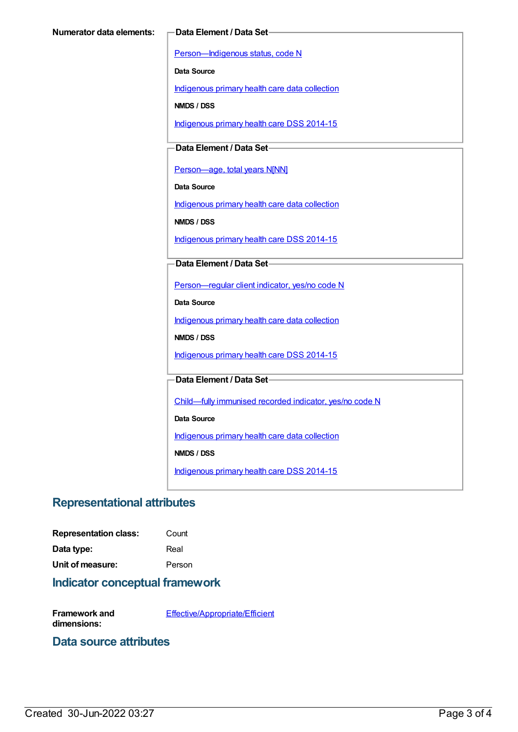[Person—Indigenous](https://meteor.aihw.gov.au/content/291036) status, code N

**Data Source**

[Indigenous](https://meteor.aihw.gov.au/content/430643) primary health care data collection

**NMDS / DSS**

[Indigenous](https://meteor.aihw.gov.au/content/504325) primary health care DSS 2014-15

**Data Element / Data Set**

[Person—age,](https://meteor.aihw.gov.au/content/303794) total years N[NN]

**Data Source**

[Indigenous](https://meteor.aihw.gov.au/content/430643) primary health care data collection

**NMDS / DSS**

[Indigenous](https://meteor.aihw.gov.au/content/504325) primary health care DSS 2014-15

#### **Data Element / Data Set**

[Person—regular](https://meteor.aihw.gov.au/content/436639) client indicator, yes/no code N

**Data Source**

[Indigenous](https://meteor.aihw.gov.au/content/430643) primary health care data collection

**NMDS / DSS**

[Indigenous](https://meteor.aihw.gov.au/content/504325) primary health care DSS 2014-15

#### **Data Element / Data Set**

[Child—fully](https://meteor.aihw.gov.au/content/457664) immunised recorded indicator, yes/no code N

**Data Source**

[Indigenous](https://meteor.aihw.gov.au/content/430643) primary health care data collection

**NMDS / DSS**

[Indigenous](https://meteor.aihw.gov.au/content/504325) primary health care DSS 2014-15

## **Representational attributes**

**Representation class:** Count

**Data type:** Real

**Unit of measure:** Person

### **Indicator conceptual framework**

**Framework and dimensions:** [Effective/Appropriate/Efficient](https://meteor.aihw.gov.au/content/410681)

### **Data source attributes**